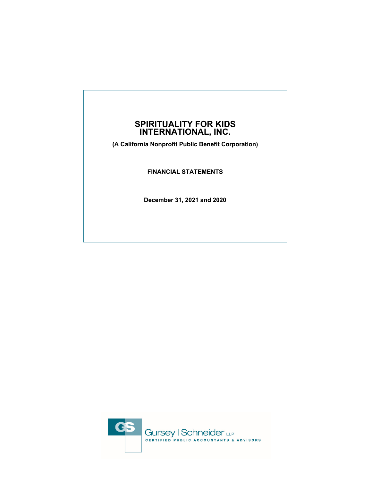**(A California Nonprofit Public Benefit Corporation)** 

**FINANCIAL STATEMENTS** 

**December 31, 2021 and 2020** 

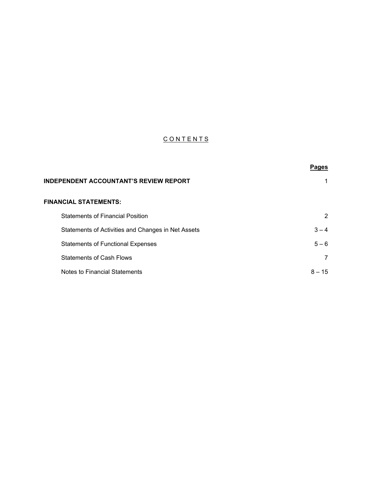# CONTENTS

|                                                    | <b>Pages</b> |
|----------------------------------------------------|--------------|
| <b>INDEPENDENT ACCOUNTANT'S REVIEW REPORT</b>      |              |
| <b>FINANCIAL STATEMENTS:</b>                       |              |
| <b>Statements of Financial Position</b>            | 2            |
| Statements of Activities and Changes in Net Assets | $3 - 4$      |
| <b>Statements of Functional Expenses</b>           | $5 - 6$      |
| <b>Statements of Cash Flows</b>                    |              |
| Notes to Financial Statements                      | $8 -$<br>15  |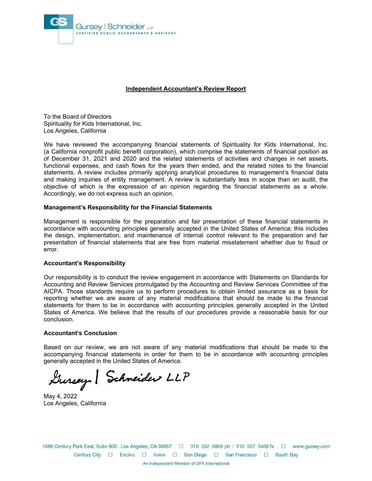

#### **Independent Accountant's Review Report**

To the Board of Directors Spirituality for Kids International, Inc. Los Angeles, California

We have reviewed the accompanying financial statements of Spirituality for Kids International, Inc. (a California nonprofit public benefit corporation), which comprise the statements of financial position as of December 31, 2021 and 2020 and the related statements of activities and changes in net assets, functional expenses, and cash flows for the years then ended, and the related notes to the financial statements. A review includes primarily applying analytical procedures to management's financial data and making inquiries of entity management. A review is substantially less in scope than an audit, the objective of which is the expression of an opinion regarding the financial statements as a whole. Accordingly, we do not express such an opinion.

#### **Management's Responsibility for the Financial Statements**

Management is responsible for the preparation and fair presentation of these financial statements in accordance with accounting principles generally accepted in the United States of America; this includes the design, implementation, and maintenance of internal control relevant to the preparation and fair presentation of financial statements that are free from material misstatement whether due to fraud or error.

#### **Accountant's Responsibility**

Our responsibility is to conduct the review engagement in accordance with Statements on Standards for Accounting and Review Services promulgated by the Accounting and Review Services Committee of the AICPA. Those standards require us to perform procedures to obtain limited assurance as a basis for reporting whether we are aware of any material modifications that should be made to the financial statements for them to be in accordance with accounting principles generally accepted in the United States of America. We believe that the results of our procedures provide a reasonable basis for our conclusion.

#### **Accountant's Conclusion**

Based on our review, we are not aware of any material modifications that should be made to the accompanying financial statements in order for them to be in accordance with accounting principles generally accepted in the United States of America.

Gursey Schneider LLP

May 4, 2022 Los Angeles, California

1888 Century Park East, Suite 900 . Los Angeles, CA 90067 □ 310 552 0960 ph | 310 557 3468 fx □ www.gursey.com Century City □ Encino □ Irvine □ San Diego □ San Francisco □ South Bay

An Independent Member of DFK International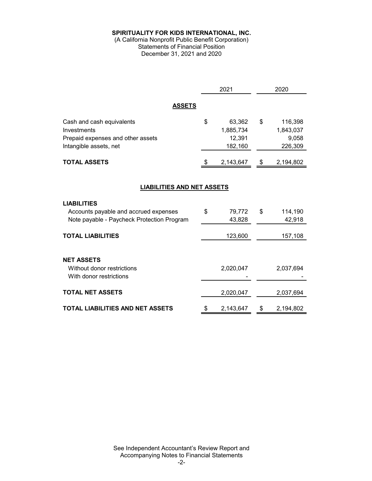(A California Nonprofit Public Benefit Corporation) Statements of Financial Position December 31, 2021 and 2020

|                                                                                                         |        | 2021                                     | 2020                                           |
|---------------------------------------------------------------------------------------------------------|--------|------------------------------------------|------------------------------------------------|
| <b>ASSETS</b>                                                                                           |        |                                          |                                                |
| Cash and cash equivalents<br>Investments<br>Prepaid expenses and other assets<br>Intangible assets, net | \$     | 63,362<br>1,885,734<br>12,391<br>182,160 | \$<br>116,398<br>1,843,037<br>9,058<br>226,309 |
| <b>TOTAL ASSETS</b>                                                                                     | \$     | 2,143,647                                | \$<br>2,194,802                                |
| <b>LIABILITIES AND NET ASSETS</b><br><b>LIABILITIES</b>                                                 | 79,772 | \$                                       |                                                |
| Accounts payable and accrued expenses<br>Note payable - Paycheck Protection Program                     | \$     | 43,828                                   | 114,190<br>42,918                              |
| <b>TOTAL LIABILITIES</b>                                                                                |        | 123,600                                  | 157,108                                        |
| <b>NET ASSETS</b><br>Without donor restrictions<br>With donor restrictions                              |        | 2,020,047                                | 2,037,694                                      |
| <b>TOTAL NET ASSETS</b>                                                                                 |        | 2,020,047                                | 2,037,694                                      |
| <b>TOTAL LIABILITIES AND NET ASSETS</b>                                                                 | \$     | 2,143,647                                | \$<br>2,194,802                                |

See Independent Accountant's Review Report and Accompanying Notes to Financial Statements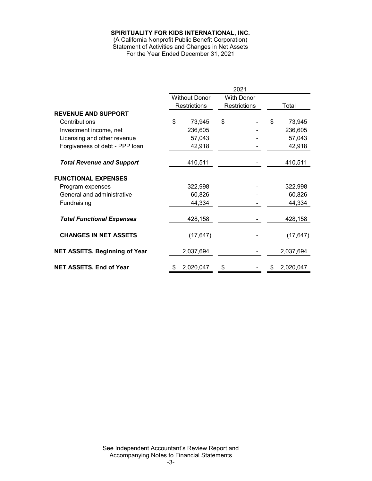(A California Nonprofit Public Benefit Corporation) Statement of Activities and Changes in Net Assets For the Year Ended December 31, 2021

|                                      | 2021 |                      |                   |              |    |           |
|--------------------------------------|------|----------------------|-------------------|--------------|----|-----------|
|                                      |      | <b>Without Donor</b> | <b>With Donor</b> |              |    |           |
|                                      |      | Restrictions         |                   | Restrictions |    | Total     |
| <b>REVENUE AND SUPPORT</b>           |      |                      |                   |              |    |           |
| Contributions                        | \$   | 73,945               | \$                |              | \$ | 73,945    |
| Investment income, net               |      | 236,605              |                   |              |    | 236,605   |
| Licensing and other revenue          |      | 57,043               |                   |              |    | 57,043    |
| Forgiveness of debt - PPP loan       |      | 42,918               |                   |              |    | 42,918    |
| <b>Total Revenue and Support</b>     |      | 410,511              |                   |              |    | 410,511   |
| <b>FUNCTIONAL EXPENSES</b>           |      |                      |                   |              |    |           |
| Program expenses                     |      | 322,998              |                   |              |    | 322,998   |
| General and administrative           |      | 60,826               |                   |              |    | 60,826    |
| Fundraising                          |      | 44,334               |                   |              |    | 44,334    |
| <b>Total Functional Expenses</b>     |      | 428,158              |                   |              |    | 428,158   |
| <b>CHANGES IN NET ASSETS</b>         |      | (17, 647)            |                   |              |    | (17, 647) |
| <b>NET ASSETS, Beginning of Year</b> |      | 2,037,694            |                   |              |    | 2,037,694 |
| NET ASSETS, End of Year              | S    | 2,020,047            | \$                |              |    | 2,020,047 |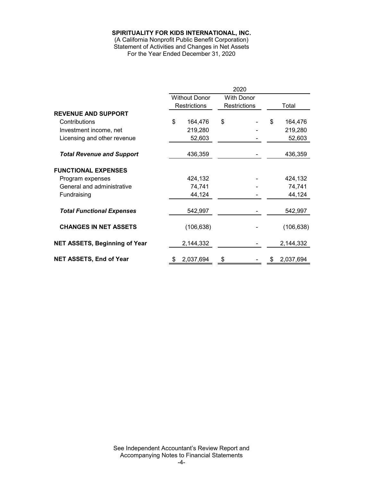(A California Nonprofit Public Benefit Corporation) Statement of Activities and Changes in Net Assets For the Year Ended December 31, 2020

|                                      | 2020 |                      |    |                   |    |            |
|--------------------------------------|------|----------------------|----|-------------------|----|------------|
|                                      |      | <b>Without Donor</b> |    | <b>With Donor</b> |    |            |
|                                      |      | Restrictions         |    | Restrictions      |    | Total      |
| <b>REVENUE AND SUPPORT</b>           |      |                      |    |                   |    |            |
| Contributions                        | \$   | 164,476              | \$ |                   | \$ | 164,476    |
| Investment income, net               |      | 219,280              |    |                   |    | 219,280    |
| Licensing and other revenue          |      | 52,603               |    |                   |    | 52,603     |
|                                      |      |                      |    |                   |    |            |
| <b>Total Revenue and Support</b>     |      | 436,359              |    |                   |    | 436,359    |
|                                      |      |                      |    |                   |    |            |
| <b>FUNCTIONAL EXPENSES</b>           |      |                      |    |                   |    |            |
| Program expenses                     |      | 424,132              |    |                   |    | 424,132    |
| General and administrative           |      | 74,741               |    |                   |    | 74,741     |
| Fundraising                          |      | 44,124               |    |                   |    | 44,124     |
|                                      |      |                      |    |                   |    |            |
| <b>Total Functional Expenses</b>     |      | 542,997              |    |                   |    | 542,997    |
|                                      |      |                      |    |                   |    |            |
| <b>CHANGES IN NET ASSETS</b>         |      | (106, 638)           |    |                   |    | (106, 638) |
| <b>NET ASSETS, Beginning of Year</b> |      | 2,144,332            |    |                   |    | 2,144,332  |
|                                      |      |                      |    |                   |    |            |
| <b>NET ASSETS, End of Year</b>       |      | 2,037,694            |    |                   |    | 2,037,694  |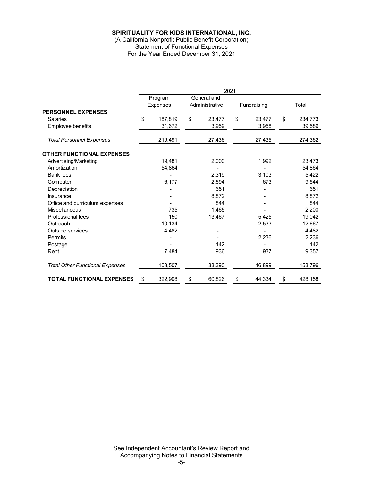#### (A California Nonprofit Public Benefit Corporation) Statement of Functional Expenses For the Year Ended December 31, 2021

|                                        | 2021                       |         |    |                               |    |             |    |         |
|----------------------------------------|----------------------------|---------|----|-------------------------------|----|-------------|----|---------|
|                                        | Program<br><b>Expenses</b> |         |    | General and<br>Administrative |    | Fundraising |    | Total   |
| <b>PERSONNEL EXPENSES</b>              |                            |         |    |                               |    |             |    |         |
| <b>Salaries</b>                        | \$                         | 187,819 | \$ | 23,477                        | \$ | 23,477      | \$ | 234,773 |
| Employee benefits                      |                            | 31,672  |    | 3,959                         |    | 3,958       |    | 39,589  |
|                                        |                            |         |    |                               |    |             |    |         |
| <b>Total Personnel Expenses</b>        |                            | 219,491 |    | 27,436                        |    | 27,435      |    | 274,362 |
| <b>OTHER FUNCTIONAL EXPENSES</b>       |                            |         |    |                               |    |             |    |         |
| Advertising/Marketing                  |                            | 19.481  |    | 2,000                         |    | 1,992       |    | 23,473  |
| Amortization                           |                            | 54,864  |    |                               |    |             |    | 54,864  |
| <b>Bank</b> fees                       |                            |         |    | 2,319                         |    | 3,103       |    | 5,422   |
| Computer                               |                            | 6,177   |    | 2,694                         |    | 673         |    | 9,544   |
| Depreciation                           |                            |         |    | 651                           |    |             |    | 651     |
| <b>Insurance</b>                       |                            |         |    | 8,872                         |    |             |    | 8,872   |
| Office and curriculum expenses         |                            |         |    | 844                           |    |             |    | 844     |
| <b>Miscellaneous</b>                   |                            | 735     |    | 1,465                         |    |             |    | 2,200   |
| Professional fees                      |                            | 150     |    | 13,467                        |    | 5,425       |    | 19,042  |
| Outreach                               |                            | 10,134  |    |                               |    | 2,533       |    | 12,667  |
| Outside services                       |                            | 4,482   |    |                               |    |             |    | 4,482   |
| Permits                                |                            |         |    |                               |    | 2,236       |    | 2,236   |
| Postage                                |                            |         |    | 142                           |    |             |    | 142     |
| Rent                                   |                            | 7,484   |    | 936                           |    | 937         |    | 9,357   |
| <b>Total Other Functional Expenses</b> |                            | 103,507 |    | 33,390                        |    | 16,899      |    | 153,796 |
| <b>TOTAL FUNCTIONAL EXPENSES</b>       | \$                         | 322,998 | \$ | 60,826                        | \$ | 44,334      | \$ | 428,158 |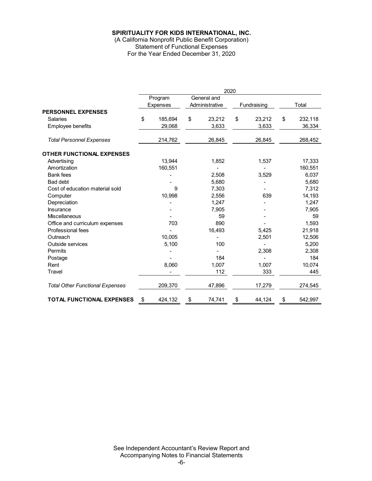#### (A California Nonprofit Public Benefit Corporation) Statement of Functional Expenses For the Year Ended December 31, 2020

|                                        | 2020    |                 |             |                |    |             |    |         |
|----------------------------------------|---------|-----------------|-------------|----------------|----|-------------|----|---------|
|                                        | Program |                 | General and |                |    |             |    |         |
|                                        |         | <b>Expenses</b> |             | Administrative |    | Fundraising |    | Total   |
| <b>PERSONNEL EXPENSES</b>              |         |                 |             |                |    |             |    |         |
| Salaries                               | \$      | 185,694         | \$          | 23,212         | \$ | 23,212      | \$ | 232,118 |
| Employee benefits                      |         | 29,068          |             | 3,633          |    | 3,633       |    | 36,334  |
| <b>Total Personnel Expenses</b>        |         | 214,762         |             | 26,845         |    | 26,845      |    | 268,452 |
| <b>OTHER FUNCTIONAL EXPENSES</b>       |         |                 |             |                |    |             |    |         |
| Advertising                            |         | 13,944          |             | 1,852          |    | 1,537       |    | 17,333  |
| Amortization                           |         | 160,551         |             |                |    |             |    | 160,551 |
| <b>Bank fees</b>                       |         |                 |             | 2,508          |    | 3,529       |    | 6,037   |
| Bad debt                               |         |                 |             | 5,680          |    |             |    | 5,680   |
| Cost of education material sold        |         | 9               |             | 7,303          |    |             |    | 7,312   |
| Computer                               |         | 10,998          |             | 2,556          |    | 639         |    | 14,193  |
| Depreciation                           |         |                 |             | 1.247          |    |             |    | 1,247   |
| <b>Insurance</b>                       |         |                 |             | 7,905          |    |             |    | 7,905   |
| Miscellaneous                          |         |                 |             | 59             |    |             |    | 59      |
| Office and curriculum expenses         |         | 703             |             | 890            |    |             |    | 1,593   |
| Professional fees                      |         |                 |             | 16,493         |    | 5,425       |    | 21,918  |
| Outreach                               |         | 10.005          |             |                |    | 2,501       |    | 12,506  |
| Outside services                       |         | 5,100           |             | 100            |    |             |    | 5,200   |
| Permits                                |         |                 |             |                |    | 2,308       |    | 2,308   |
| Postage                                |         |                 |             | 184            |    |             |    | 184     |
| Rent                                   |         | 8,060           |             | 1,007          |    | 1,007       |    | 10,074  |
| Travel                                 |         |                 |             | 112            |    | 333         |    | 445     |
| <b>Total Other Functional Expenses</b> |         | 209,370         |             | 47,896         |    | 17,279      |    | 274,545 |
| <b>TOTAL FUNCTIONAL EXPENSES</b>       | \$      | 424,132         | \$          | 74,741         | \$ | 44,124      | \$ | 542,997 |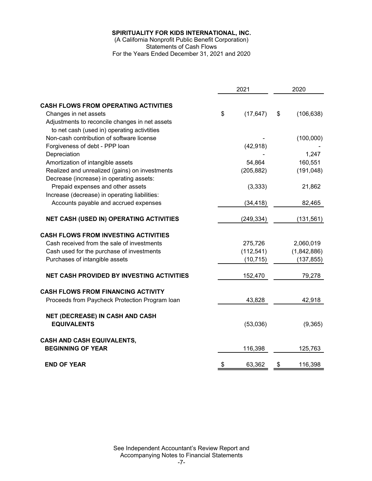(A California Nonprofit Public Benefit Corporation)

Statements of Cash Flows

For the Years Ended December 31, 2021 and 2020

|                                                | 2021            | 2020 |             |  |
|------------------------------------------------|-----------------|------|-------------|--|
| <b>CASH FLOWS FROM OPERATING ACTIVITIES</b>    |                 |      |             |  |
| Changes in net assets                          | \$<br>(17, 647) | \$   | (106, 638)  |  |
| Adjustments to reconcile changes in net assets |                 |      |             |  |
| to net cash (used in) operating activtities    |                 |      |             |  |
| Non-cash contribution of software license      |                 |      | (100,000)   |  |
| Forgiveness of debt - PPP loan                 | (42, 918)       |      |             |  |
| Depreciation                                   |                 |      | 1,247       |  |
| Amortization of intangible assets              | 54,864          |      | 160,551     |  |
| Realized and unrealized (gains) on investments | (205, 882)      |      | (191, 048)  |  |
| Decrease (increase) in operating assets:       |                 |      |             |  |
| Prepaid expenses and other assets              | (3, 333)        |      | 21,862      |  |
| Increase (decrease) in operating liabilities:  |                 |      |             |  |
| Accounts payable and accrued expenses          | (34, 418)       |      | 82,465      |  |
| NET CASH (USED IN) OPERATING ACTIVITIES        | (249, 334)      |      | (131, 561)  |  |
| <b>CASH FLOWS FROM INVESTING ACTIVITIES</b>    |                 |      |             |  |
| Cash received from the sale of investments     | 275,726         |      | 2,060,019   |  |
| Cash used for the purchase of investments      | (112, 541)      |      | (1,842,886) |  |
| Purchases of intangible assets                 | (10, 715)       |      | (137, 855)  |  |
| NET CASH PROVIDED BY INVESTING ACTIVITIES      | 152,470         |      | 79,278      |  |
| <b>CASH FLOWS FROM FINANCING ACTIVITY</b>      |                 |      |             |  |
| Proceeds from Paycheck Protection Program Ioan | 43,828          |      | 42,918      |  |
| NET (DECREASE) IN CASH AND CASH                |                 |      |             |  |
| <b>EQUIVALENTS</b>                             | (53,036)        |      | (9,365)     |  |
| <b>CASH AND CASH EQUIVALENTS,</b>              |                 |      |             |  |
| <b>BEGINNING OF YEAR</b>                       | 116,398         |      | 125,763     |  |
| <b>END OF YEAR</b>                             | \$<br>63,362    | \$   | 116,398     |  |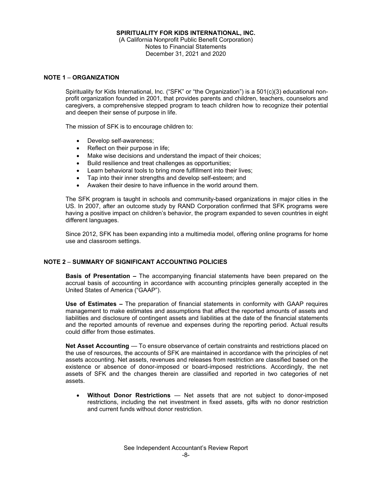(A California Nonprofit Public Benefit Corporation) Notes to Financial Statements December 31, 2021 and 2020

#### **NOTE 1** – **ORGANIZATION**

Spirituality for Kids International, Inc. ("SFK" or "the Organization") is a 501(c)(3) educational nonprofit organization founded in 2001, that provides parents and children, teachers, counselors and caregivers, a comprehensive stepped program to teach children how to recognize their potential and deepen their sense of purpose in life.

The mission of SFK is to encourage children to:

- Develop self-awareness;
- Reflect on their purpose in life;
- Make wise decisions and understand the impact of their choices;
- Build resilience and treat challenges as opportunities;
- Learn behavioral tools to bring more fulfillment into their lives;
- Tap into their inner strengths and develop self-esteem; and
- Awaken their desire to have influence in the world around them.

The SFK program is taught in schools and community-based organizations in major cities in the US. In 2007, after an outcome study by RAND Corporation confirmed that SFK programs were having a positive impact on children's behavior, the program expanded to seven countries in eight different languages.

Since 2012, SFK has been expanding into a multimedia model, offering online programs for home use and classroom settings.

#### **NOTE 2** – **SUMMARY OF SIGNIFICANT ACCOUNTING POLICIES**

**Basis of Presentation –** The accompanying financial statements have been prepared on the accrual basis of accounting in accordance with accounting principles generally accepted in the United States of America ("GAAP").

**Use of Estimates –** The preparation of financial statements in conformity with GAAP requires management to make estimates and assumptions that affect the reported amounts of assets and liabilities and disclosure of contingent assets and liabilities at the date of the financial statements and the reported amounts of revenue and expenses during the reporting period. Actual results could differ from those estimates.

**Net Asset Accounting** — To ensure observance of certain constraints and restrictions placed on the use of resources, the accounts of SFK are maintained in accordance with the principles of net assets accounting. Net assets, revenues and releases from restriction are classified based on the existence or absence of donor-imposed or board-imposed restrictions. Accordingly, the net assets of SFK and the changes therein are classified and reported in two categories of net assets.

 **Without Donor Restrictions** — Net assets that are not subject to donor-imposed restrictions, including the net investment in fixed assets, gifts with no donor restriction and current funds without donor restriction.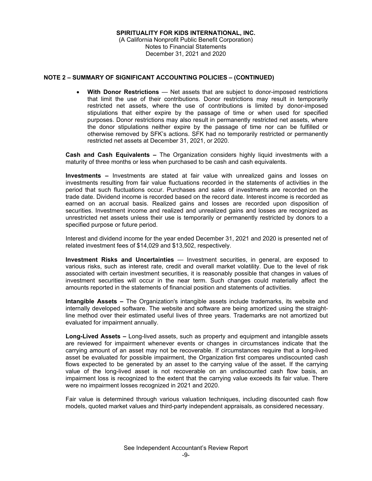**SPIRITUALITY FOR KIDS INTERNATIONAL, INC.**  (A California Nonprofit Public Benefit Corporation) Notes to Financial Statements December 31, 2021 and 2020

#### **NOTE 2 – SUMMARY OF SIGNIFICANT ACCOUNTING POLICIES – (CONTINUED)**

 **With Donor Restrictions** — Net assets that are subject to donor-imposed restrictions that limit the use of their contributions. Donor restrictions may result in temporarily restricted net assets, where the use of contributions is limited by donor-imposed stipulations that either expire by the passage of time or when used for specified purposes. Donor restrictions may also result in permanently restricted net assets, where the donor stipulations neither expire by the passage of time nor can be fulfilled or otherwise removed by SFK's actions. SFK had no temporarily restricted or permanently restricted net assets at December 31, 2021, or 2020.

**Cash and Cash Equivalents –** The Organization considers highly liquid investments with a maturity of three months or less when purchased to be cash and cash equivalents.

**Investments –** Investments are stated at fair value with unrealized gains and losses on investments resulting from fair value fluctuations recorded in the statements of activities in the period that such fluctuations occur. Purchases and sales of investments are recorded on the trade date. Dividend income is recorded based on the record date. Interest income is recorded as earned on an accrual basis. Realized gains and losses are recorded upon disposition of securities. Investment income and realized and unrealized gains and losses are recognized as unrestricted net assets unless their use is temporarily or permanently restricted by donors to a specified purpose or future period.

Interest and dividend income for the year ended December 31, 2021 and 2020 is presented net of related investment fees of \$14,029 and \$13,502, respectively.

**Investment Risks and Uncertainties** — Investment securities, in general, are exposed to various risks, such as interest rate, credit and overall market volatility. Due to the level of risk associated with certain investment securities, it is reasonably possible that changes in values of investment securities will occur in the near term. Such changes could materially affect the amounts reported in the statements of financial position and statements of activities.

**Intangible Assets –** The Organization's intangible assets include trademarks, its website and internally developed software. The website and software are being amortized using the straightline method over their estimated useful lives of three years. Trademarks are not amortized but evaluated for impairment annually.

**Long-Lived Assets –** Long-lived assets, such as property and equipment and intangible assets are reviewed for impairment whenever events or changes in circumstances indicate that the carrying amount of an asset may not be recoverable. If circumstances require that a long-lived asset be evaluated for possible impairment, the Organization first compares undiscounted cash flows expected to be generated by an asset to the carrying value of the asset. If the carrying value of the long-lived asset is not recoverable on an undiscounted cash flow basis, an impairment loss is recognized to the extent that the carrying value exceeds its fair value. There were no impairment losses recognized in 2021 and 2020.

Fair value is determined through various valuation techniques, including discounted cash flow models, quoted market values and third-party independent appraisals, as considered necessary.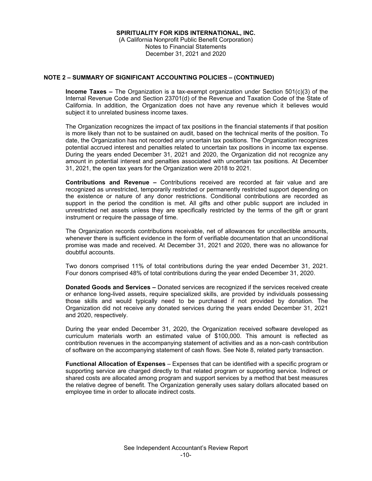(A California Nonprofit Public Benefit Corporation) Notes to Financial Statements December 31, 2021 and 2020

#### **NOTE 2 – SUMMARY OF SIGNIFICANT ACCOUNTING POLICIES – (CONTINUED)**

**Income Taxes –** The Organization is a tax-exempt organization under Section 501(c)(3) of the Internal Revenue Code and Section 23701(d) of the Revenue and Taxation Code of the State of California. In addition, the Organization does not have any revenue which it believes would subject it to unrelated business income taxes.

The Organization recognizes the impact of tax positions in the financial statements if that position is more likely than not to be sustained on audit, based on the technical merits of the position. To date, the Organization has not recorded any uncertain tax positions. The Organization recognizes potential accrued interest and penalties related to uncertain tax positions in income tax expense. During the years ended December 31, 2021 and 2020, the Organization did not recognize any amount in potential interest and penalties associated with uncertain tax positions. At December 31, 2021, the open tax years for the Organization were 2018 to 2021.

**Contributions and Revenue –** Contributions received are recorded at fair value and are recognized as unrestricted, temporarily restricted or permanently restricted support depending on the existence or nature of any donor restrictions. Conditional contributions are recorded as support in the period the condition is met. All gifts and other public support are included in unrestricted net assets unless they are specifically restricted by the terms of the gift or grant instrument or require the passage of time.

The Organization records contributions receivable, net of allowances for uncollectible amounts, whenever there is sufficient evidence in the form of verifiable documentation that an unconditional promise was made and received. At December 31, 2021 and 2020, there was no allowance for doubtful accounts.

Two donors comprised 11% of total contributions during the year ended December 31, 2021. Four donors comprised 48% of total contributions during the year ended December 31, 2020.

**Donated Goods and Services –** Donated services are recognized if the services received create or enhance long-lived assets, require specialized skills, are provided by individuals possessing those skills and would typically need to be purchased if not provided by donation. The Organization did not receive any donated services during the years ended December 31, 2021 and 2020, respectively.

During the year ended December 31, 2020, the Organization received software developed as curriculum materials worth an estimated value of \$100,000. This amount is reflected as contribution revenues in the accompanying statement of activities and as a non-cash contribution of software on the accompanying statement of cash flows. See Note 8, related party transaction.

**Functional Allocation of Expenses** – Expenses that can be identified with a specific program or supporting service are charged directly to that related program or supporting service. Indirect or shared costs are allocated among program and support services by a method that best measures the relative degree of benefit. The Organization generally uses salary dollars allocated based on employee time in order to allocate indirect costs.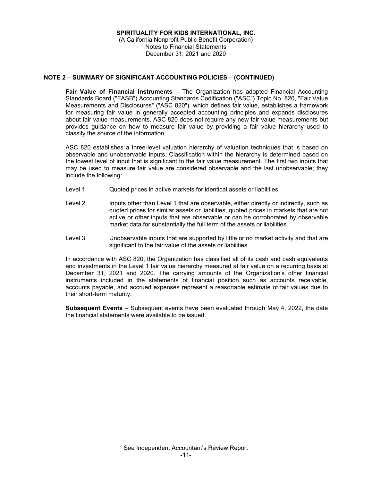(A California Nonprofit Public Benefit Corporation) Notes to Financial Statements December 31, 2021 and 2020

#### **NOTE 2 – SUMMARY OF SIGNIFICANT ACCOUNTING POLICIES – (CONTINUED)**

**Fair Value of Financial Instruments –** The Organization has adopted Financial Accounting Standards Board ("FASB") Accounting Standards Codification ("ASC") Topic No. 820, "Fair Value Measurements and Disclosures" ("ASC 820"), which defines fair value, establishes a framework for measuring fair value in generally accepted accounting principles and expands disclosures about fair value measurements. ASC 820 does not require any new fair value measurements but provides guidance on how to measure fair value by providing a fair value hierarchy used to classify the source of the information.

ASC 820 establishes a three-level valuation hierarchy of valuation techniques that is based on observable and unobservable inputs. Classification within the hierarchy is determined based on the lowest level of input that is significant to the fair value measurement. The first two inputs that may be used to measure fair value are considered observable and the last unobservable; they include the following:

- Level 1 Quoted prices in active markets for identical assets or liabilities
- Level 2 Inputs other than Level 1 that are observable, either directly or indirectly, such as quoted prices for similar assets or liabilities, quoted prices in markets that are not active or other inputs that are observable or can be corroborated by observable market data for substantially the full term of the assets or liabilities
- Level 3 Unobservable inputs that are supported by little or no market activity and that are significant to the fair value of the assets or liabilities

In accordance with ASC 820, the Organization has classified all of its cash and cash equivalents and investments in the Level 1 fair value hierarchy measured at fair value on a recurring basis at December 31, 2021 and 2020. The carrying amounts of the Organization's other financial instruments included in the statements of financial position such as accounts receivable, accounts payable, and accrued expenses represent a reasonable estimate of fair values due to their short-term maturity.

**Subsequent Events** – Subsequent events have been evaluated through May 4, 2022, the date the financial statements were available to be issued.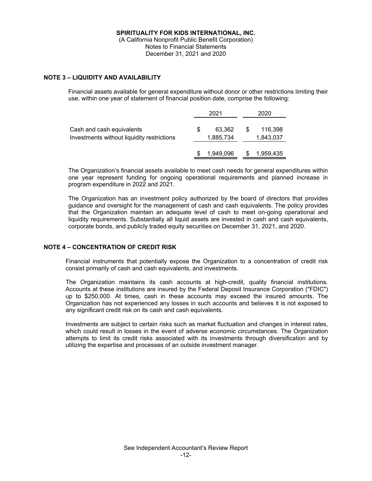(A California Nonprofit Public Benefit Corporation) Notes to Financial Statements December 31, 2021 and 2020

#### **NOTE 3 – LIQUIDITY AND AVAILABILITY**

Financial assets available for general expenditure without donor or other restrictions limiting their use, within one year of statement of financial position date, comprise the following:

|                                                                         |   | 2021                |   | 2020                 |
|-------------------------------------------------------------------------|---|---------------------|---|----------------------|
| Cash and cash equivalents<br>Investments without liquidity restrictions | S | 63.362<br>1,885,734 | S | 116,398<br>1,843,037 |
|                                                                         |   | 1.949.096           |   | 1,959,435            |

The Organization's financial assets available to meet cash needs for general expenditures within one year represent funding for ongoing operational requirements and planned increase in program expenditure in 2022 and 2021.

The Organization has an investment policy authorized by the board of directors that provides guidance and oversight for the management of cash and cash equivalents. The policy provides that the Organization maintain an adequate level of cash to meet on-going operational and liquidity requirements. Substantially all liquid assets are invested in cash and cash equivalents, corporate bonds, and publicly traded equity securities on December 31, 2021, and 2020.

### **NOTE 4 – CONCENTRATION OF CREDIT RISK**

Financial instruments that potentially expose the Organization to a concentration of credit risk consist primarily of cash and cash equivalents, and investments.

The Organization maintains its cash accounts at high-credit, quality financial institutions. Accounts at these institutions are insured by the Federal Deposit Insurance Corporation ("FDIC") up to \$250,000. At times, cash in these accounts may exceed the insured amounts. The Organization has not experienced any losses in such accounts and believes it is not exposed to any significant credit risk on its cash and cash equivalents.

Investments are subject to certain risks such as market fluctuation and changes in interest rates, which could result in losses in the event of adverse economic circumstances. The Organization attempts to limit its credit risks associated with its investments through diversification and by utilizing the expertise and processes of an outside investment manager.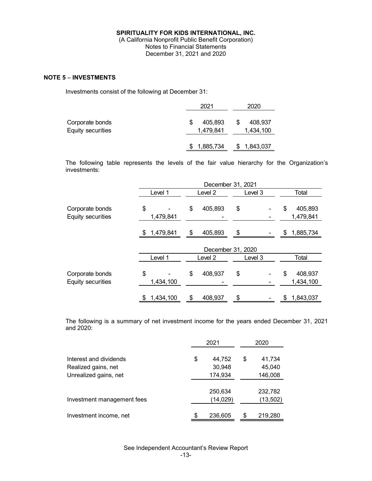(A California Nonprofit Public Benefit Corporation) Notes to Financial Statements December 31, 2021 and 2020

### **NOTE 5** – **INVESTMENTS**

Investments consist of the following at December 31:

|                                      | 2021                      | 2020                 |
|--------------------------------------|---------------------------|----------------------|
| Corporate bonds<br>Equity securities | 405,893<br>S<br>1,479,841 | 408,937<br>1,434,100 |
|                                      | 1,885,734                 | 1,843,037<br>S       |

The following table represents the levels of the fair value hierarchy for the Organization's investments:

|                                             | December 31, 2021 |    |                   |    |         |    |                      |
|---------------------------------------------|-------------------|----|-------------------|----|---------|----|----------------------|
|                                             | Level 1           |    | Level 2           |    | Level 3 |    | Total                |
| Corporate bonds<br><b>Equity securities</b> | \$<br>1,479,841   | \$ | 405,893           | \$ |         | \$ | 405,893<br>1,479,841 |
|                                             | \$<br>1,479,841   | \$ | 405,893           | \$ |         | \$ | 1,885,734            |
|                                             |                   |    | December 31, 2020 |    |         |    |                      |
|                                             | Level 1           |    | Level 2           |    | Level 3 |    | Total                |
| Corporate bonds<br><b>Equity securities</b> | \$<br>1,434,100   | \$ | 408,937           | \$ |         | \$ | 408,937<br>1,434,100 |
|                                             | \$<br>1,434,100   | \$ | 408,937           | \$ |         | \$ | 1,843,037            |

The following is a summary of net investment income for the years ended December 31, 2021 and 2020:

|                                              |    | 2021              | 2020 |                   |  |
|----------------------------------------------|----|-------------------|------|-------------------|--|
| Interest and dividends                       | \$ | 44,752            | S    | 41,734            |  |
| Realized gains, net<br>Unrealized gains, net |    | 30,948<br>174,934 |      | 45,040<br>146,008 |  |
|                                              |    | 250,634           |      | 232,782           |  |
| Investment management fees                   |    | (14, 029)         |      | (13,502)          |  |
| Investment income, net                       | S. | 236,605           |      | 219,280           |  |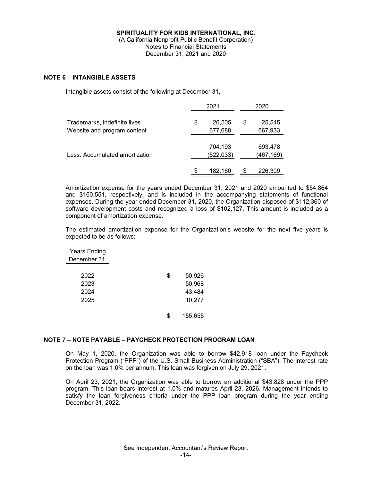(A California Nonprofit Public Benefit Corporation) Notes to Financial Statements December 31, 2021 and 2020

#### **NOTE 6** – **INTANGIBLE ASSETS**

Intangible assets consist of the following at December 31,

|                                | 2021 |            |   | 2020      |
|--------------------------------|------|------------|---|-----------|
| Trademarks, indefinite lives   | \$   | 26,505     | S | 25,545    |
| Website and program content    |      | 677,688    |   | 667,933   |
|                                |      |            |   |           |
|                                |      | 704,193    |   | 693,478   |
| Less: Accumulated amortization |      | (522, 033) |   | (467,169) |
|                                |      |            |   |           |
|                                | \$   | 182,160    | S | 226,309   |
|                                |      |            |   |           |

Amortization expense for the years ended December 31, 2021 and 2020 amounted to \$54,864 and \$160,551, respectively, and is included in the accompanying statements of functional expenses. During the year ended December 31, 2020, the Organization disposed of \$112,360 of software development costs and recognized a loss of \$102,127. This amount is included as a component of amortization expense.

The estimated amortization expense for the Organization's website for the next five years is expected to be as follows:

Years Ending December 31, 2022 50,926 \$ 2023 50,968 2024 43,484 2025 10,277 \$ 155,655

#### **NOTE 7 – NOTE PAYABLE – PAYCHECK PROTECTION PROGRAM LOAN**

On May 1, 2020, the Organization was able to borrow \$42,918 loan under the Paycheck Protection Program ("PPP") of the U.S. Small Business Administration ("SBA"). The interest rate on the loan was 1.0% per annum. This loan was forgiven on July 29, 2021.

On April 23, 2021, the Organization was able to borrow an additional \$43,828 under the PPP program. This loan bears interest at 1.0% and matures April 23, 2026. Management intends to satisfy the loan forgiveness criteria under the PPP loan program during the year ending December 31, 2022.